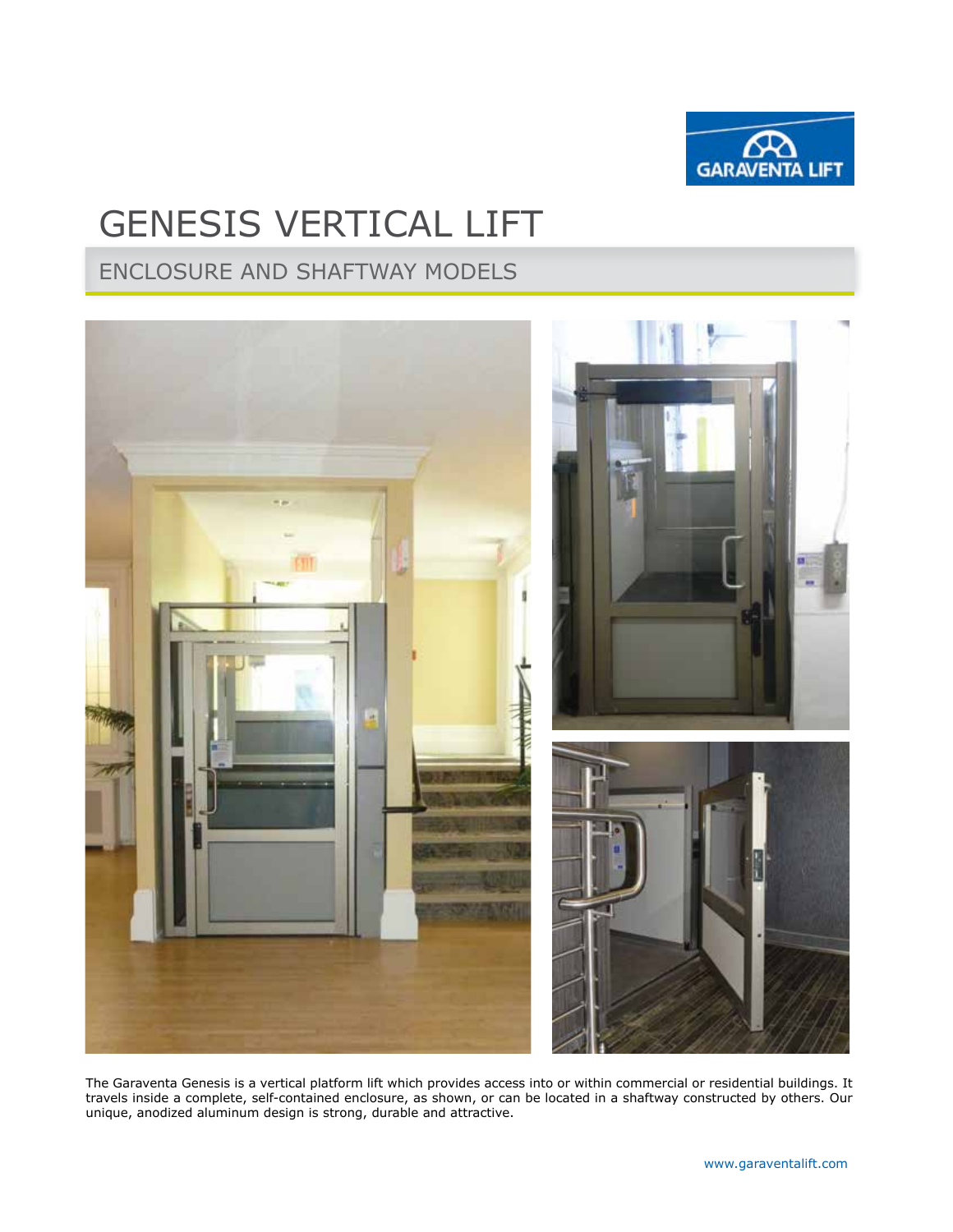

# GENESIS VERTICAL LIFT

# ENCLOSURE AND SHAFTWAY MODELS



The Garaventa Genesis is a vertical platform lift which provides access into or within commercial or residential buildings. It travels inside a complete, self-contained enclosure, as shown, or can be located in a shaftway constructed by others. Our unique, anodized aluminum design is strong, durable and attractive.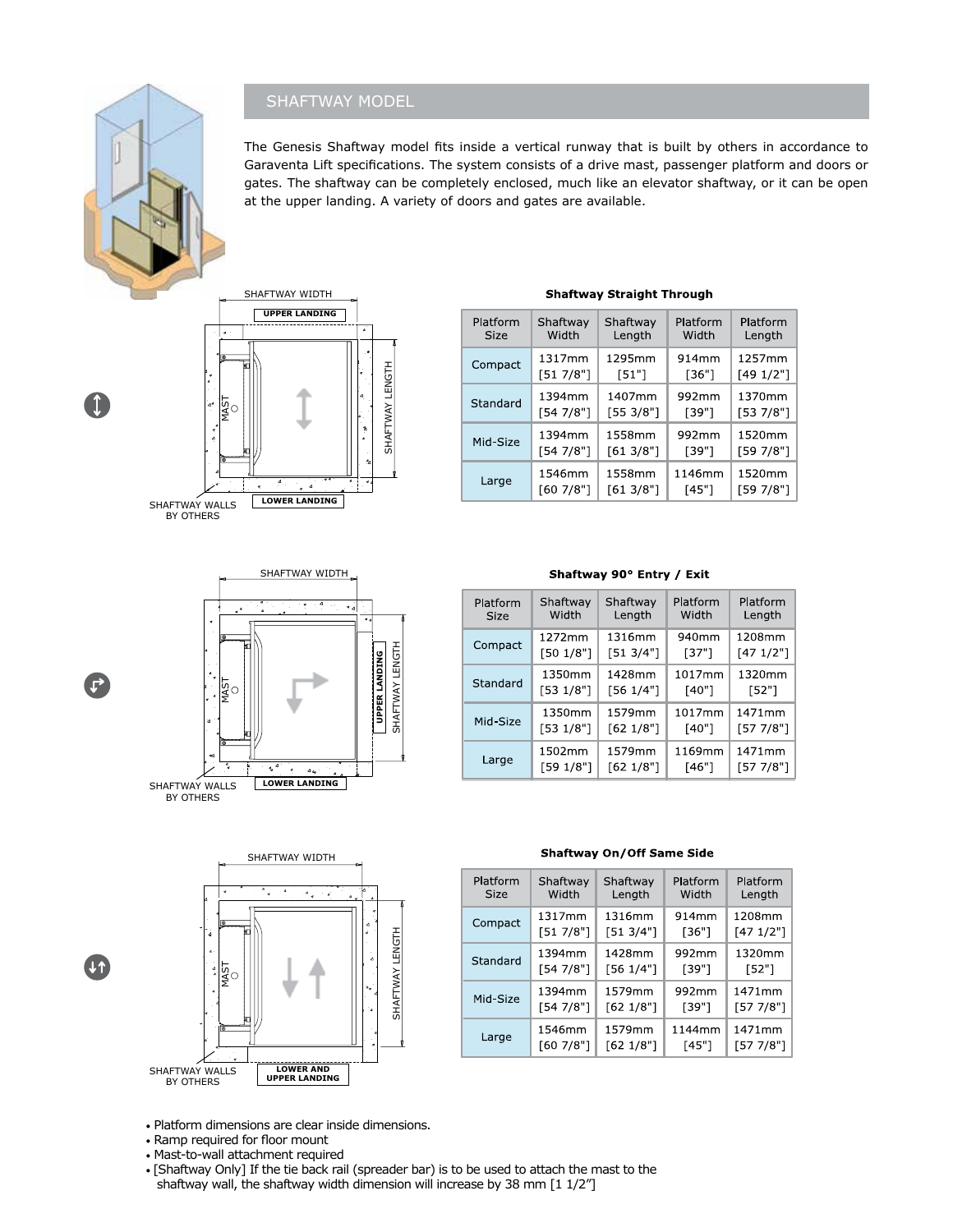## SHAFTWAY MODEL

The Genesis Shaftway model fits inside a vertical runway that is built by others in accordance to Garaventa Lift specifications. The system consists of a drive mast, passenger platform and doors or gates. The shaftway can be completely enclosed, much like an elevator shaftway, or it can be open at the upper landing. A variety of doors and gates are available.



Platform Platform Platform Shaftway Shaftway Width Width Size Length Length 1295mm 1257mm 1317mm 914mm Compact  $[49 1/2"]$  $[51 7/8"]$  $[51"]$  $[36"]$ 1407mm 1370mm 1394mm 992mm Standard  $[553/8"]$  $[54 7/8"]$  $[39"]$  $[53\ 7/8"]$ 1394mm 1558mm 992mm 1520mm Mid-Size  $[54 7/8"]$  $[613/8"]$  $[39"]$  $[59 7/8"]$ 1520mm 1546mm 1558mm 1146mm Large  $[60 7/8"]$  $[613/8"]$  $[45"]$  $[59 7/8"]$ 

#### **Shaftway Straight Through**



| Shaftway 90° Entry / Exit |  |  |  |  |
|---------------------------|--|--|--|--|
|---------------------------|--|--|--|--|

| Platform    | Shaftway  | Shaftway  | Platform | Platform  |
|-------------|-----------|-----------|----------|-----------|
| <b>Size</b> | Width     | Length    | Width    | Length    |
| Compact     | 1272mm    | 1316mm    | 940mm    | 1208mm    |
|             | [50 1/8"] | [513/4"]  | [37"]    | [471/2"]  |
| Standard    | 1350mm    | 1428mm    | 1017mm   | 1320mm    |
|             | [53 1/8"] | [56 1/4"] | [40"]    | [52"]     |
| Mid-Size    | 1350mm    | 1579mm    | 1017mm   | 1471mm    |
|             | [53 1/8"] | [62 1/8"] | [40"]    | [57 7/8"] |
| Large       | 1502mm    | 1579mm    | 1169mm   | 1471mm    |
|             | [59 1/8"] | [62 1/8"] | [46"]    | [57 7/8"] |



ั้ง

#### **Shaftway On/Off Same Side**

| Platform    | Shaftway  | Shaftway  | Platform | Platform  |
|-------------|-----------|-----------|----------|-----------|
| <b>Size</b> | Width     | Length    | Width    | Length    |
| Compact     | 1317mm    | 1316mm    | 914mm    | 1208mm    |
|             | [51 7/8"] | [51 3/4"] | $[36"]$  | [471/2"]  |
| Standard    | 1394mm    | 1428mm    | 992mm    | 1320mm    |
|             | [54 7/8"] | [56 1/4"] | [39"]    | [52"]     |
| Mid-Size    | 1394mm    | 1579mm    | 992mm    | 1471mm    |
|             | [54 7/8"] | [62 1/8"] | [39"]    | [57 7/8"] |
| Large       | 1546mm    | 1579mm    | 1144mm   | 1471mm    |
|             | [607/8"]  | [62 1/8"] | [45"]    | [57 7/8"] |

• Platform dimensions are clear inside dimensions.

- Ramp required for floor mount
- Mast-to-wall attachment required

• [Shaftway Only] If the tie back rail (spreader bar) is to be used to attach the mast to the shaftway width dimension will increase by 38 mm  $[1\ 1/2'']$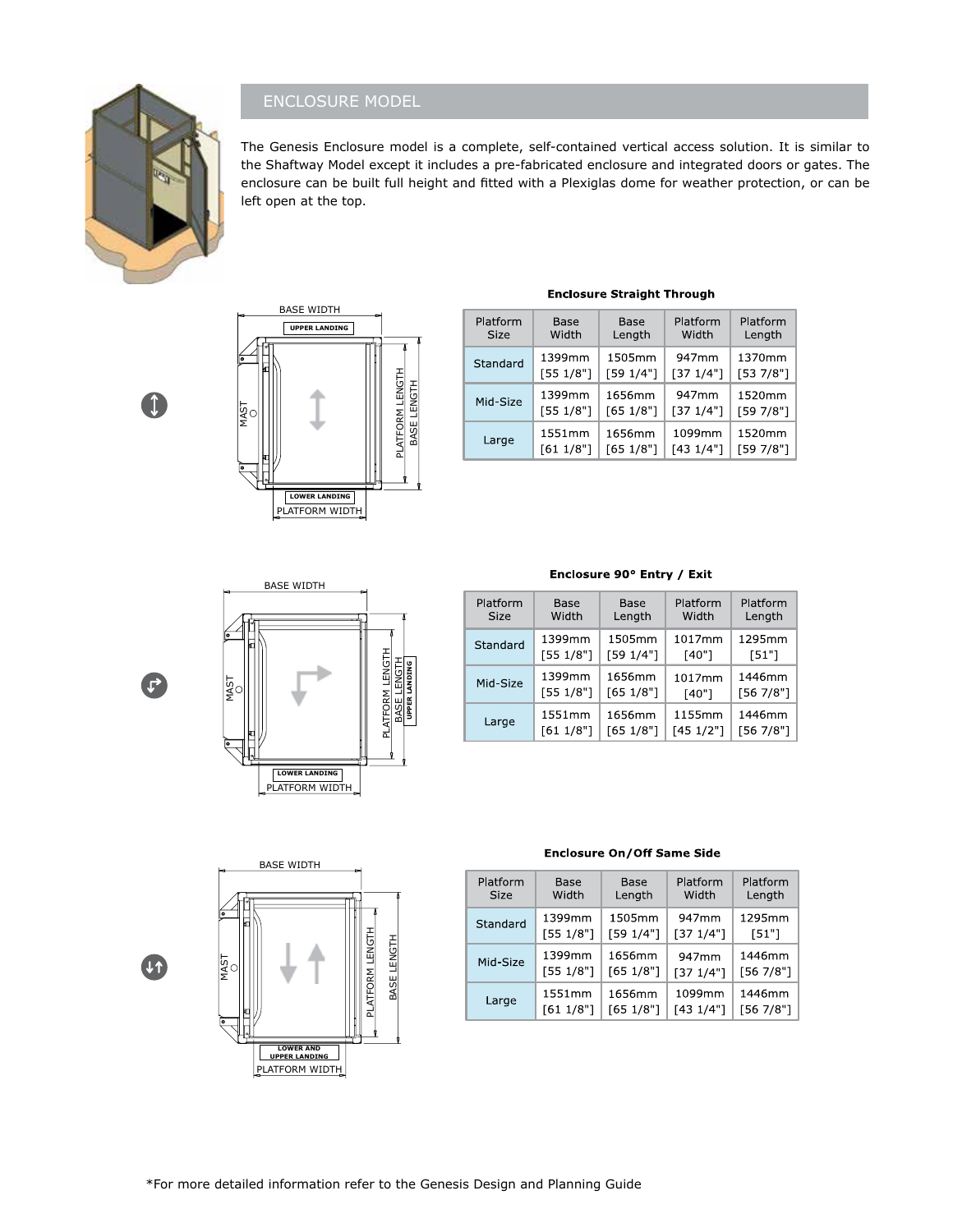

# ENCLOSURE MODEL

The Genesis Enclosure model is a complete, self-contained vertical access solution. It is similar to the Shaftway Model except it includes a pre-fabricated enclosure and integrated doors or gates. The enclosure can be built full height and fitted with a Plexiglas dome for weather protection, or can be left open at the top.

 $\uparrow$ 



### **Enclosure Straight Through**

| Platform    | Base      | Base      | Platform  | Platform  |
|-------------|-----------|-----------|-----------|-----------|
| <b>Size</b> | Width     | Length    | Width     | Length    |
| Standard    | 1399mm    | 1505mm    | 947mm     | 1370mm    |
|             | [55 1/8"] | [59 1/4"] | [37 1/4"] | [53 7/8"] |
| Mid-Size    | 1399mm    | 1656mm    | 947mm     | 1520mm    |
|             | [55 1/8"] | [65 1/8"] | [371/4"]  | [59 7/8"] |
| Large       | 1551mm    | 1656mm    | 1099mm    | 1520mm    |
|             | [61 1/8"] | [65 1/8"] | [431/4"]  | [59 7/8"] |



#### Enclosure 90° Entry / Exit

| Platform    | Base      | Base      | Platform  | Platform  |
|-------------|-----------|-----------|-----------|-----------|
| <b>Size</b> | Width     | Length    | Width     | Length    |
| Standard    | 1399mm    | 1505mm    | 1017mm    | 1295mm    |
|             | [55 1/8"] | [59 1/4"] | [40"]     | [51"]     |
| Mid-Size    | 1399mm    | 1656mm    | 1017mm    | 1446mm    |
|             | [55 1/8"] | [65 1/8"] | [40"]     | [56 7/8"] |
| Large       | 1551mm    | 1656mm    | 1155mm    | 1446mm    |
|             | [611/8"]  | [65 1/8"] | [45 1/2"] | [56 7/8"] |

 $\mathbf{r}$ 

U<sub>1</sub>



#### **Enclosure On/Off Same Side**

| Platform    | Base      | Base      | Platform  | Platform  |
|-------------|-----------|-----------|-----------|-----------|
| <b>Size</b> | Width     | Length    | Width     | Length    |
| Standard    | 1399mm    | 1505mm    | 947mm     | 1295mm    |
|             | [55 1/8"] | [59 1/4"] | [37 1/4"] | [51"]     |
| Mid-Size    | 1399mm    | 1656mm    | 947mm     | 1446mm    |
|             | [55 1/8"] | [65 1/8"] | [37 1/4"] | [56 7/8"] |
| Large       | 1551mm    | 1656mm    | 1099mm    | 1446mm    |
|             | [61 1/8"] | [65 1/8"] | [431/4"]  | [56 7/8"] |